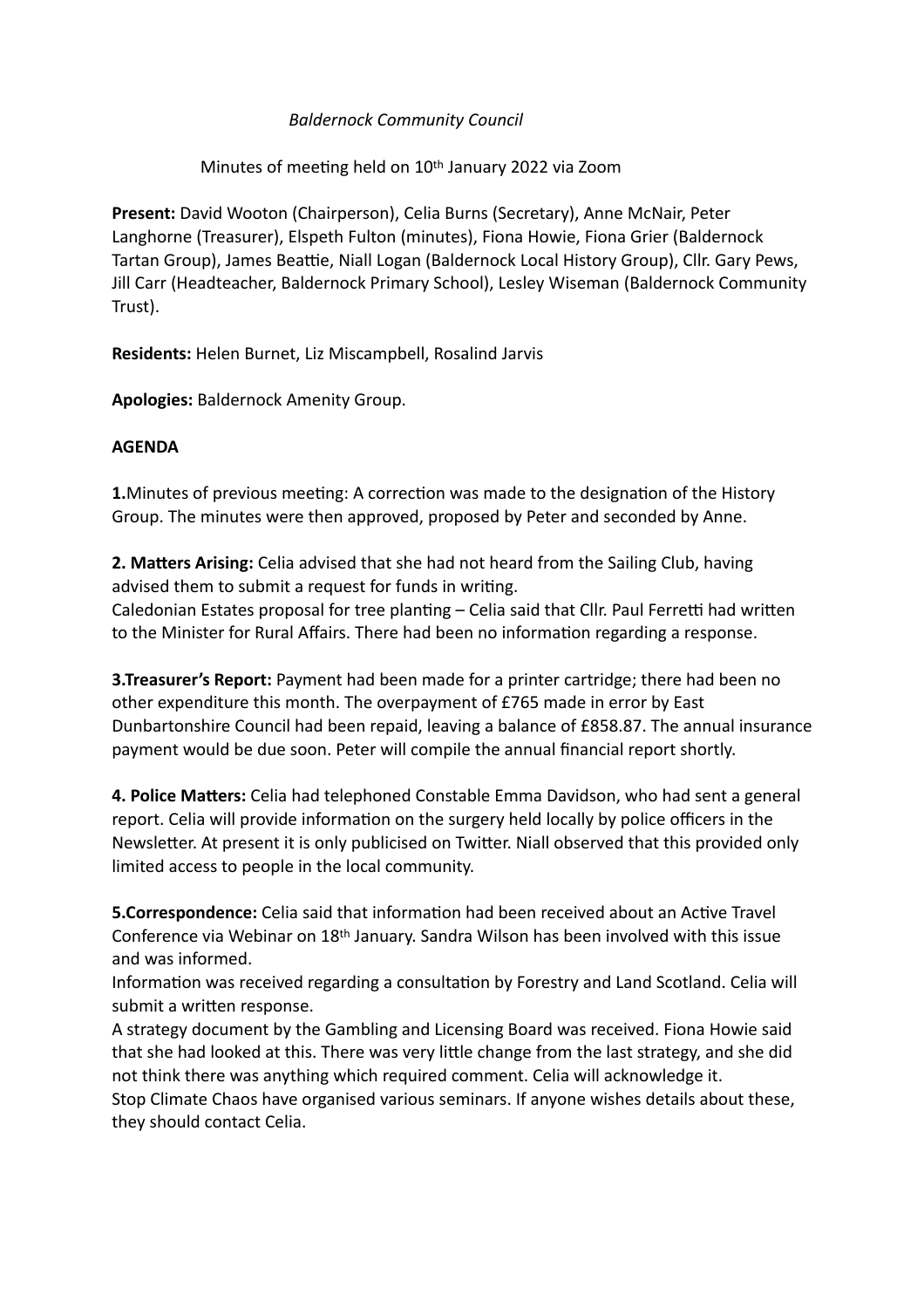# *Baldernock Community Council*

### Minutes of meeting held on 10th January 2022 via Zoom

**Present:** David Wooton (Chairperson), Celia Burns (Secretary), Anne McNair, Peter Langhorne (Treasurer), Elspeth Fulton (minutes), Fiona Howie, Fiona Grier (Baldernock Tartan Group), James Beattie, Niall Logan (Baldernock Local History Group), Cllr. Gary Pews, Jill Carr (Headteacher, Baldernock Primary School), Lesley Wiseman (Baldernock Community Trust).

**Residents:** Helen Burnet, Liz Miscampbell, Rosalind Jarvis

**Apologies:** Baldernock Amenity Group.

#### **AGENDA**

**1.**Minutes of previous meeting: A correction was made to the designation of the History Group. The minutes were then approved, proposed by Peter and seconded by Anne.

**2. Matters Arising:** Celia advised that she had not heard from the Sailing Club, having advised them to submit a request for funds in writing.

Caledonian Estates proposal for tree planting – Celia said that Cllr. Paul Ferretti had written to the Minister for Rural Affairs. There had been no information regarding a response.

**3.Treasurer's Report:** Payment had been made for a printer cartridge; there had been no other expenditure this month. The overpayment of £765 made in error by East Dunbartonshire Council had been repaid, leaving a balance of £858.87. The annual insurance payment would be due soon. Peter will compile the annual financial report shortly.

**4. Police Matters:** Celia had telephoned Constable Emma Davidson, who had sent a general report. Celia will provide information on the surgery held locally by police officers in the Newsletter. At present it is only publicised on Twitter. Niall observed that this provided only limited access to people in the local community.

**5.Correspondence:** Celia said that information had been received about an Active Travel Conference via Webinar on 18th January. Sandra Wilson has been involved with this issue and was informed.

Information was received regarding a consultation by Forestry and Land Scotland. Celia will submit a written response.

A strategy document by the Gambling and Licensing Board was received. Fiona Howie said that she had looked at this. There was very little change from the last strategy, and she did not think there was anything which required comment. Celia will acknowledge it.

Stop Climate Chaos have organised various seminars. If anyone wishes details about these, they should contact Celia.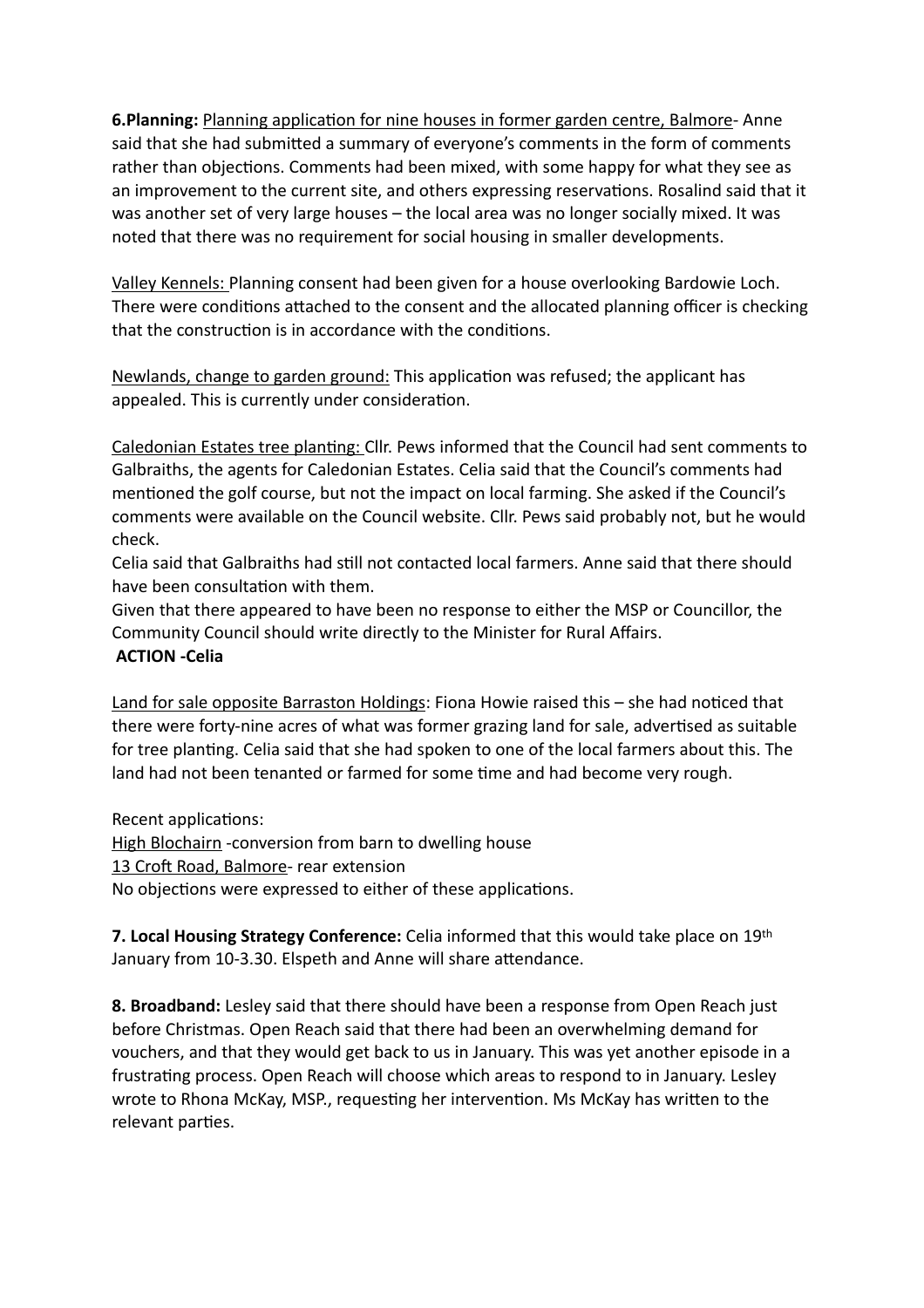**6.Planning:** Planning application for nine houses in former garden centre, Balmore- Anne said that she had submitted a summary of everyone's comments in the form of comments rather than objections. Comments had been mixed, with some happy for what they see as an improvement to the current site, and others expressing reservations. Rosalind said that it was another set of very large houses – the local area was no longer socially mixed. It was noted that there was no requirement for social housing in smaller developments.

Valley Kennels: Planning consent had been given for a house overlooking Bardowie Loch. There were conditions attached to the consent and the allocated planning officer is checking that the construction is in accordance with the conditions.

Newlands, change to garden ground: This application was refused; the applicant has appealed. This is currently under consideration.

Caledonian Estates tree planting: Cllr. Pews informed that the Council had sent comments to Galbraiths, the agents for Caledonian Estates. Celia said that the Council's comments had mentioned the golf course, but not the impact on local farming. She asked if the Council's comments were available on the Council website. Cllr. Pews said probably not, but he would check.

Celia said that Galbraiths had still not contacted local farmers. Anne said that there should have been consultation with them.

Given that there appeared to have been no response to either the MSP or Councillor, the Community Council should write directly to the Minister for Rural Affairs.

# **ACTION -Celia**

Land for sale opposite Barraston Holdings: Fiona Howie raised this  $-$  she had noticed that there were forty-nine acres of what was former grazing land for sale, advertised as suitable for tree planting. Celia said that she had spoken to one of the local farmers about this. The land had not been tenanted or farmed for some time and had become very rough.

Recent applications:

High Blochairn -conversion from barn to dwelling house 13 Croft Road, Balmore- rear extension No objections were expressed to either of these applications.

**7. Local Housing Strategy Conference:** Celia informed that this would take place on 19th January from 10-3.30. Elspeth and Anne will share attendance.

**8. Broadband:** Lesley said that there should have been a response from Open Reach just before Christmas. Open Reach said that there had been an overwhelming demand for vouchers, and that they would get back to us in January. This was yet another episode in a frustrating process. Open Reach will choose which areas to respond to in January. Lesley wrote to Rhona McKay, MSP., requesting her intervention. Ms McKay has written to the relevant parties.